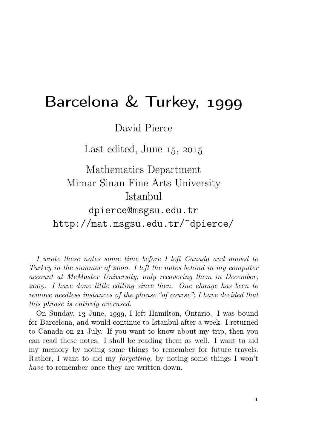## Barcelona & Turkey,

David Pierce

Last edited, June  $15, 2015$ 

Mathematics Department Mimar Sinan Fine Arts University Istanbul dpierce@msgsu.edu.tr

http://mat.msgsu.edu.tr/~dpierce/

I wrote these notes some time before I left Canada and moved to Turkey in the summer of  $1$  as ight the notes behind in my computer account at McMaster University, only recovering them in December, . I have done little editing since then. One change has been to remove needless instances of the phrase "of course"; I have decided that this phrase is entirely overused.

On Sunday, 13 June, 1999, I left Hamilton, Ontario. I was bound for Barcelona, and would continue to Istanbul after a week. I returned to Canada on 21 July. If you want to know about my trip, then you can read these notes. I shall be reading them as well. I want to aid my memory by noting some things to remember for future travels. Rather, I want to aid my forgetting, by noting some things I won't have to remember once they are written down.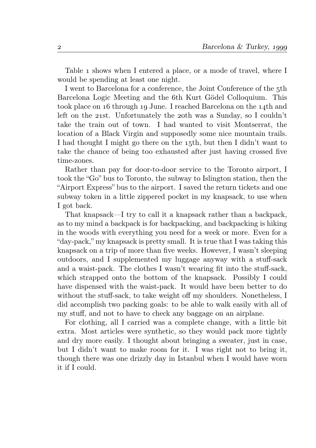Table 1 shows when I entered a place, or a mode of travel, where I would be spending at least one night.

I went to Barcelona for a conference, the Joint Conference of the 5th Barcelona Logic Meeting and the 6th Kurt Gödel Colloquium. This took place on 16 through 19 June. I reached Barcelona on the 14th and left on the  $21st$ . Unfortunately the  $20th$  was a Sunday, so I couldn't take the train out of town. I had wanted to visit Montserrat, the location of a Black Virgin and supposedly some nice mountain trails. I had thought I might go there on the 15th, but then I didn't want to take the chance of being too exhausted after just having crossed five time-zones.

Rather than pay for door-to-door service to the Toronto airport, I took the "Go" bus to Toronto, the subway to Islington station, then the "Airport Express" bus to the airport. I saved the return tickets and one subway token in a little zippered pocket in my knapsack, to use when I got back.

That knapsack—I try to call it a knapsack rather than a backpack, as to my mind a backpack is for backpacking, and backpacking is hiking in the woods with everything you need for a week or more. Even for a "day-pack," my knapsack is pretty small. It is true that I was taking this knapsack on a trip of more than five weeks. However, I wasn't sleeping outdoors, and I supplemented my luggage anyway with a stuff-sack and a waist-pack. The clothes I wasn't wearing fit into the stuff-sack, which strapped onto the bottom of the knapsack. Possibly I could have dispensed with the waist-pack. It would have been better to do without the stuff-sack, to take weight off my shoulders. Nonetheless, I did accomplish two packing goals: to be able to walk easily with all of my stuff, and not to have to check any baggage on an airplane.

For clothing, all I carried was a complete change, with a little bit extra. Most articles were synthetic, so they would pack more tightly and dry more easily. I thought about bringing a sweater, just in case, but I didn't want to make room for it. I was right not to bring it, though there was one drizzly day in Istanbul when I would have worn it if I could.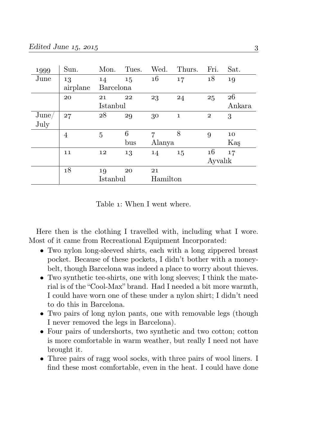| 1999  | Sun.     | Mon.      | Tues. | Wed.     | Thurs.       | Fri.         | Sat.   |  |
|-------|----------|-----------|-------|----------|--------------|--------------|--------|--|
| June  | 13       | 14        | 15    | 16       | 17           | 18           | 19     |  |
|       | airplane | Barcelona |       |          |              |              |        |  |
|       | 20       | 21        | 22    | 23       | 24           | 25           | 26     |  |
|       |          | Istanbul  |       |          |              |              | Ankara |  |
| June/ | 27       | 28        | 29    | 30       | $\mathbf{1}$ | $\mathbf{2}$ | 3      |  |
| July  |          |           |       |          |              |              |        |  |
|       | 4        | 5         | 6     | 7        | 8            | 9            | 10     |  |
|       |          |           | bus   | Alanya   |              |              | Kaş    |  |
|       | 11       | 12        | 13    | 14       | 15           | 16           | 17     |  |
|       |          |           |       |          |              | Ayvalık      |        |  |
|       | 18       | 19        | 20    | 21       |              |              |        |  |
|       |          | Istanbul  |       | Hamilton |              |              |        |  |

Table 1: When I went where.

Here then is the clothing I travelled with, including what I wore. Most of it came from Recreational Equipment Incorporated:

- Two nylon long-sleeved shirts, each with a long zippered breast pocket. Because of these pockets, I didn't bother with a moneybelt, though Barcelona was indeed a place to worry about thieves.
- Two synthetic tee-shirts, one with long sleeves; I think the material is of the "Cool-Max" brand. Had I needed a bit more warmth, I could have worn one of these under a nylon shirt; I didn't need to do this in Barcelona.
- Two pairs of long nylon pants, one with removable legs (though I never removed the legs in Barcelona).
- Four pairs of undershorts, two synthetic and two cotton; cotton is more comfortable in warm weather, but really I need not have brought it.
- Three pairs of ragg wool socks, with three pairs of wool liners. I find these most comfortable, even in the heat. I could have done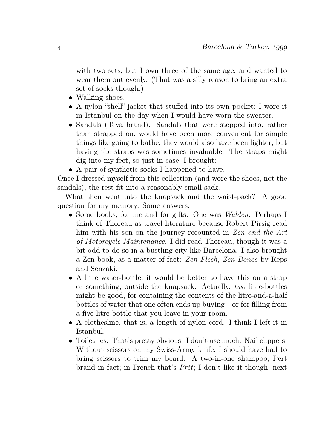with two sets, but I own three of the same age, and wanted to wear them out evenly. (That was a silly reason to bring an extra set of socks though.)

- Walking shoes.
- A nylon "shell" jacket that stuffed into its own pocket; I wore it in Istanbul on the day when I would have worn the sweater.
- Sandals (Teva brand). Sandals that were stepped into, rather than strapped on, would have been more convenient for simple things like going to bathe; they would also have been lighter; but having the straps was sometimes invaluable. The straps might dig into my feet, so just in case, I brought:
- A pair of synthetic socks I happened to have.

Once I dressed myself from this collection (and wore the shoes, not the sandals), the rest fit into a reasonably small sack.

What then went into the knapsack and the waist-pack? A good question for my memory. Some answers:

- Some books, for me and for gifts. One was *Walden*. Perhaps I think of Thoreau as travel literature because Robert Pirsig read him with his son on the journey recounted in Zen and the Art of Motorcycle Maintenance. I did read Thoreau, though it was a bit odd to do so in a bustling city like Barcelona. I also brought a Zen book, as a matter of fact: Zen Flesh, Zen Bones by Reps and Senzaki.
- A litre water-bottle; it would be better to have this on a strap or something, outside the knapsack. Actually, two litre-bottles might be good, for containing the contents of the litre-and-a-half bottles of water that one often ends up buying—or for filling from a five-litre bottle that you leave in your room.
- A clothesline, that is, a length of nylon cord. I think I left it in Istanbul.
- Toiletries. That's pretty obvious. I don't use much. Nail clippers. Without scissors on my Swiss-Army knife, I should have had to bring scissors to trim my beard. A two-in-one shampoo, Pert brand in fact; in French that's Prêt; I don't like it though, next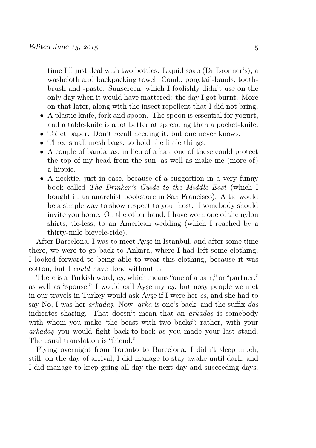time I'll just deal with two bottles. Liquid soap (Dr Bronner's), a washcloth and backpacking towel. Comb, ponytail-bands, toothbrush and -paste. Sunscreen, which I foolishly didn't use on the only day when it would have mattered: the day I got burnt. More on that later, along with the insect repellent that I did not bring.

- A plastic knife, fork and spoon. The spoon is essential for yogurt, and a table-knife is a lot better at spreading than a pocket-knife.
- Toilet paper. Don't recall needing it, but one never knows.
- Three small mesh bags, to hold the little things.
- A couple of bandanas; in lieu of a hat, one of these could protect the top of my head from the sun, as well as make me (more of) a hippie.
- A necktie, just in case, because of a suggestion in a very funny book called The Drinker's Guide to the Middle East (which I bought in an anarchist bookstore in San Francisco). A tie would be a simple way to show respect to your host, if somebody should invite you home. On the other hand, I have worn one of the nylon shirts, tie-less, to an American wedding (which I reached by a thirty-mile bicycle-ride).

After Barcelona, I was to meet Ayşe in Istanbul, and after some time there, we were to go back to Ankara, where I had left some clothing. I looked forward to being able to wear this clothing, because it was cotton, but I could have done without it.

There is a Turkish word, eş, which means "one of a pair," or "partner," as well as "spouse." I would call Ayşe my eş; but nosy people we met in our travels in Turkey would ask Ayşe if I were her eş, and she had to say No, I was her arkadaş. Now, arka is one's back, and the suffix daş indicates sharing. That doesn't mean that an arkadaş is somebody with whom you make "the beast with two backs"; rather, with your arkadaş you would fight back-to-back as you made your last stand. The usual translation is "friend."

Flying overnight from Toronto to Barcelona, I didn't sleep much; still, on the day of arrival, I did manage to stay awake until dark, and I did manage to keep going all day the next day and succeeding days.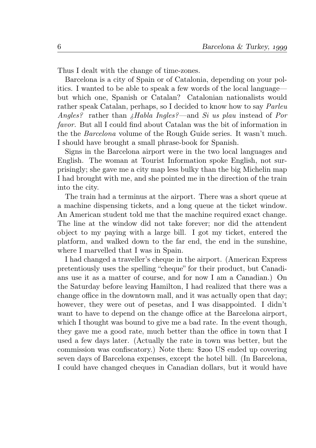Thus I dealt with the change of time-zones.

Barcelona is a city of Spain or of Catalonia, depending on your politics. I wanted to be able to speak a few words of the local language but which one, Spanish or Catalan? Catalonian nationalists would rather speak Catalan, perhaps, so I decided to know how to say Parleu Angles? rather than ¿Habla Ingles?—and Si us plau instead of Por favor. But all I could find about Catalan was the bit of information in the the Barcelona volume of the Rough Guide series. It wasn't much. I should have brought a small phrase-book for Spanish.

Signs in the Barcelona airport were in the two local languages and English. The woman at Tourist Information spoke English, not surprisingly; she gave me a city map less bulky than the big Michelin map I had brought with me, and she pointed me in the direction of the train into the city.

The train had a terminus at the airport. There was a short queue at a machine dispensing tickets, and a long queue at the ticket window. An American student told me that the machine required exact change. The line at the window did not take forever; nor did the attendent object to my paying with a large bill. I got my ticket, entered the platform, and walked down to the far end, the end in the sunshine, where I marvelled that I was in Spain.

I had changed a traveller's cheque in the airport. (American Express pretentiously uses the spelling "cheque" for their product, but Canadians use it as a matter of course, and for now I am a Canadian.) On the Saturday before leaving Hamilton, I had realized that there was a change office in the downtown mall, and it was actually open that day; however, they were out of pesetas, and I was disappointed. I didn't want to have to depend on the change office at the Barcelona airport, which I thought was bound to give me a bad rate. In the event though, they gave me a good rate, much better than the office in town that I used a few days later. (Actually the rate in town was better, but the commission was confiscatory.) Note then: \$200 US ended up covering seven days of Barcelona expenses, except the hotel bill. (In Barcelona, I could have changed cheques in Canadian dollars, but it would have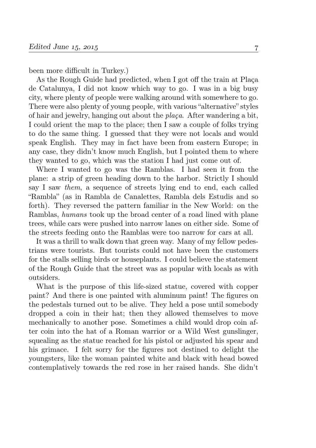been more difficult in Turkey.)

As the Rough Guide had predicted, when I got off the train at Plaça de Catalunya, I did not know which way to go. I was in a big busy city, where plenty of people were walking around with somewhere to go. There were also plenty of young people, with various "alternative" styles of hair and jewelry, hanging out about the plaça. After wandering a bit, I could orient the map to the place; then I saw a couple of folks trying to do the same thing. I guessed that they were not locals and would speak English. They may in fact have been from eastern Europe; in any case, they didn't know much English, but I pointed them to where they wanted to go, which was the station I had just come out of.

Where I wanted to go was the Ramblas. I had seen it from the plane: a strip of green heading down to the harbor. Strictly I should say I saw them, a sequence of streets lying end to end, each called "Rambla" (as in Rambla de Canalettes, Rambla dels Estudis and so forth). They reversed the pattern familiar in the New World: on the Ramblas, humans took up the broad center of a road lined with plane trees, while cars were pushed into narrow lanes on either side. Some of the streets feeding onto the Ramblas were too narrow for cars at all.

It was a thrill to walk down that green way. Many of my fellow pedestrians were tourists. But tourists could not have been the customers for the stalls selling birds or houseplants. I could believe the statement of the Rough Guide that the street was as popular with locals as with outsiders.

What is the purpose of this life-sized statue, covered with copper paint? And there is one painted with aluminum paint! The figures on the pedestals turned out to be alive. They held a pose until somebody dropped a coin in their hat; then they allowed themselves to move mechanically to another pose. Sometimes a child would drop coin after coin into the hat of a Roman warrior or a Wild West gunslinger, squealing as the statue reached for his pistol or adjusted his spear and his grimace. I felt sorry for the figures not destined to delight the youngsters, like the woman painted white and black with head bowed contemplatively towards the red rose in her raised hands. She didn't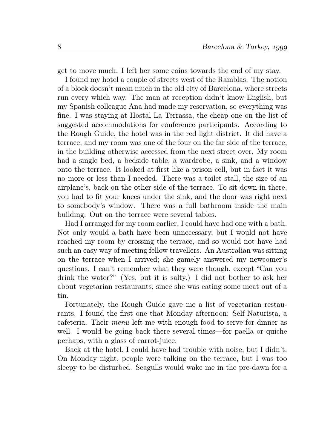get to move much. I left her some coins towards the end of my stay.

I found my hotel a couple of streets west of the Ramblas. The notion of a block doesn't mean much in the old city of Barcelona, where streets run every which way. The man at reception didn't know English, but my Spanish colleague Ana had made my reservation, so everything was fine. I was staying at Hostal La Terrassa, the cheap one on the list of suggested accommodations for conference participants. According to the Rough Guide, the hotel was in the red light district. It did have a terrace, and my room was one of the four on the far side of the terrace, in the building otherwise accessed from the next street over. My room had a single bed, a bedside table, a wardrobe, a sink, and a window onto the terrace. It looked at first like a prison cell, but in fact it was no more or less than I needed. There was a toilet stall, the size of an airplane's, back on the other side of the terrace. To sit down in there, you had to fit your knees under the sink, and the door was right next to somebody's window. There was a full bathroom inside the main building. Out on the terrace were several tables.

Had I arranged for my room earlier, I could have had one with a bath. Not only would a bath have been unnecessary, but I would not have reached my room by crossing the terrace, and so would not have had such an easy way of meeting fellow travellers. An Australian was sitting on the terrace when I arrived; she gamely answered my newcomer's questions. I can't remember what they were though, except "Can you drink the water?" (Yes, but it is salty.) I did not bother to ask her about vegetarian restaurants, since she was eating some meat out of a tin.

Fortunately, the Rough Guide gave me a list of vegetarian restaurants. I found the first one that Monday afternoon: Self Naturista, a cafeteria. Their menu left me with enough food to serve for dinner as well. I would be going back there several times—for paella or quiche perhaps, with a glass of carrot-juice.

Back at the hotel, I could have had trouble with noise, but I didn't. On Monday night, people were talking on the terrace, but I was too sleepy to be disturbed. Seagulls would wake me in the pre-dawn for a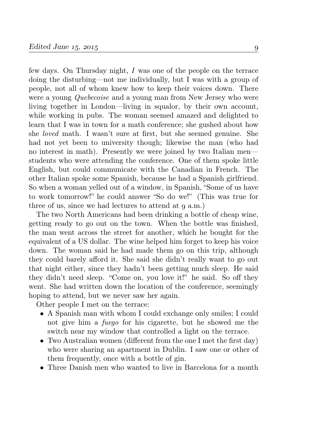few days. On Thursday night, I was one of the people on the terrace doing the disturbing—not me individually, but I was with a group of people, not all of whom knew how to keep their voices down. There were a young Quebecoise and a young man from New Jersey who were living together in London—living in squalor, by their own account, while working in pubs. The woman seemed amazed and delighted to learn that I was in town for a math conference; she gushed about how she loved math. I wasn't sure at first, but she seemed genuine. She had not yet been to university though; likewise the man (who had no interest in math). Presently we were joined by two Italian men students who were attending the conference. One of them spoke little English, but could communicate with the Canadian in French. The other Italian spoke some Spanish, because he had a Spanish girlfriend. So when a woman yelled out of a window, in Spanish, "Some of us have to work tomorrow!" he could answer "So do we!" (This was true for three of us, since we had lectures to attend at  $q$  a.m.)

The two North Americans had been drinking a bottle of cheap wine, getting ready to go out on the town. When the bottle was finished, the man went across the street for another, which he bought for the equivalent of a US dollar. The wine helped him forget to keep his voice down. The woman said he had made them go on this trip, although they could barely afford it. She said she didn't really want to go out that night either, since they hadn't been getting much sleep. He said they didn't need sleep. "Come on, you love it!" he said. So off they went. She had written down the location of the conference, seemingly hoping to attend, but we never saw her again.

Other people I met on the terrace:

- A Spanish man with whom I could exchange only smiles; I could not give him a fuego for his cigarette, but he showed me the switch near my window that controlled a light on the terrace.
- Two Australian women (different from the one I met the first day) who were sharing an apartment in Dublin. I saw one or other of them frequently, once with a bottle of gin.
- Three Danish men who wanted to live in Barcelona for a month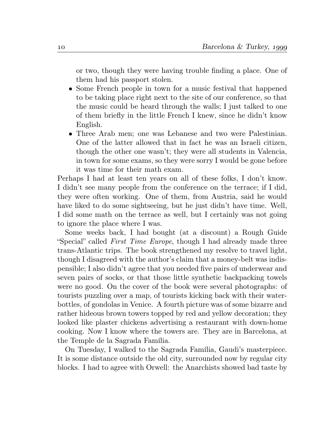or two, though they were having trouble finding a place. One of them had his passport stolen.

- Some French people in town for a music festival that happened to be taking place right next to the site of our conference, so that the music could be heard through the walls; I just talked to one of them briefly in the little French I knew, since he didn't know English.
- Three Arab men; one was Lebanese and two were Palestinian. One of the latter allowed that in fact he was an Israeli citizen, though the other one wasn't; they were all students in Valencia, in town for some exams, so they were sorry I would be gone before it was time for their math exam.

Perhaps I had at least ten years on all of these folks, I don't know. I didn't see many people from the conference on the terrace; if I did, they were often working. One of them, from Austria, said he would have liked to do some sightseeing, but he just didn't have time. Well, I did some math on the terrace as well, but I certainly was not going to ignore the place where I was.

Some weeks back, I had bought (at a discount) a Rough Guide "Special" called First Time Europe, though I had already made three trans-Atlantic trips. The book strengthened my resolve to travel light, though I disagreed with the author's claim that a money-belt was indispensible; I also didn't agree that you needed five pairs of underwear and seven pairs of socks, or that those little synthetic backpacking towels were no good. On the cover of the book were several photographs: of tourists puzzling over a map, of tourists kicking back with their waterbottles, of gondolas in Venice. A fourth picture was of some bizarre and rather hideous brown towers topped by red and yellow decoration; they looked like plaster chickens advertising a restaurant with down-home cooking. Now I know where the towers are. They are in Barcelona, at the Temple de la Sagrada Família.

On Tuesday, I walked to the Sagrada Família, Gaudi's masterpiece. It is some distance outside the old city, surrounded now by regular city blocks. I had to agree with Orwell: the Anarchists showed bad taste by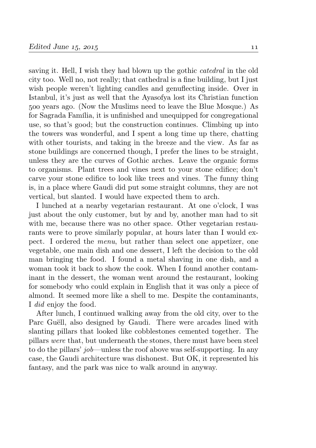saving it. Hell, I wish they had blown up the gothic catedral in the old city too. Well no, not really; that cathedral is a fine building, but I just wish people weren't lighting candles and genuflecting inside. Over in Istanbul, it's just as well that the Ayasofya lost its Christian function years ago. (Now the Muslims need to leave the Blue Mosque.) As for Sagrada Família, it is unfinished and unequipped for congregational use, so that's good; but the construction continues. Climbing up into the towers was wonderful, and I spent a long time up there, chatting with other tourists, and taking in the breeze and the view. As far as stone buildings are concerned though, I prefer the lines to be straight, unless they are the curves of Gothic arches. Leave the organic forms to organisms. Plant trees and vines next to your stone edifice; don't carve your stone edifice to look like trees and vines. The funny thing is, in a place where Gaudi did put some straight columns, they are not vertical, but slanted. I would have expected them to arch.

I lunched at a nearby vegetarian restaurant. At one o'clock, I was just about the only customer, but by and by, another man had to sit with me, because there was no other space. Other vegetarian restaurants were to prove similarly popular, at hours later than I would expect. I ordered the menu, but rather than select one appetizer, one vegetable, one main dish and one dessert, I left the decision to the old man bringing the food. I found a metal shaving in one dish, and a woman took it back to show the cook. When I found another contaminant in the dessert, the woman went around the restaurant, looking for somebody who could explain in English that it was only a piece of almond. It seemed more like a shell to me. Despite the contaminants, I did enjoy the food.

After lunch, I continued walking away from the old city, over to the Parc Guëll, also designed by Gaudi. There were arcades lined with slanting pillars that looked like cobblestones cemented together. The pillars were that, but underneath the stones, there must have been steel to do the pillars' job—unless the roof above was self-supporting. In any case, the Gaudi architecture was dishonest. But OK, it represented his fantasy, and the park was nice to walk around in anyway.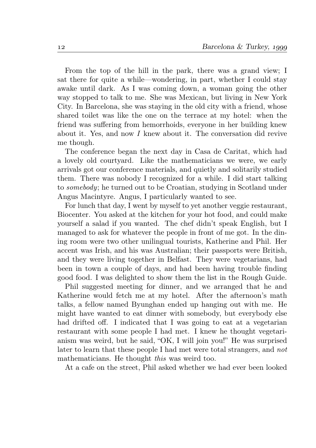From the top of the hill in the park, there was a grand view; I sat there for quite a while—wondering, in part, whether I could stay awake until dark. As I was coming down, a woman going the other way stopped to talk to me. She was Mexican, but living in New York City. In Barcelona, she was staying in the old city with a friend, whose shared toilet was like the one on the terrace at my hotel: when the friend was suffering from hemorrhoids, everyone in her building knew about it. Yes, and now I knew about it. The conversation did revive me though.

The conference began the next day in Casa de Caritat, which had a lovely old courtyard. Like the mathematicians we were, we early arrivals got our conference materials, and quietly and solitarily studied them. There was nobody I recognized for a while. I did start talking to somebody; he turned out to be Croatian, studying in Scotland under Angus Macintyre. Angus, I particularly wanted to see.

For lunch that day, I went by myself to yet another veggie restaurant, Biocenter. You asked at the kitchen for your hot food, and could make yourself a salad if you wanted. The chef didn't speak English, but I managed to ask for whatever the people in front of me got. In the dining room were two other unilingual tourists, Katherine and Phil. Her accent was Irish, and his was Australian; their passports were British, and they were living together in Belfast. They were vegetarians, had been in town a couple of days, and had been having trouble finding good food. I was delighted to show them the list in the Rough Guide.

Phil suggested meeting for dinner, and we arranged that he and Katherine would fetch me at my hotel. After the afternoon's math talks, a fellow named Byunghan ended up hanging out with me. He might have wanted to eat dinner with somebody, but everybody else had drifted off. I indicated that I was going to eat at a vegetarian restaurant with some people I had met. I knew he thought vegetarianism was weird, but he said, "OK, I will join you!" He was surprised later to learn that these people I had met were total strangers, and not mathematicians. He thought *this* was weird too.

At a cafe on the street, Phil asked whether we had ever been looked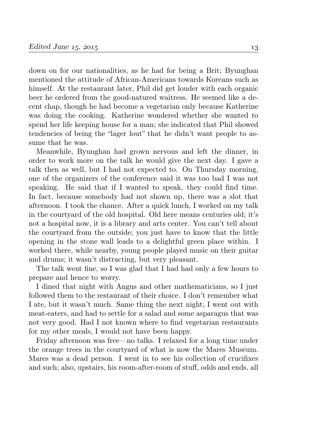down on for our nationalities, as he had for being a Brit; Byunghan mentioned the attitude of African-Americans towards Koreans such as himself. At the restaurant later, Phil did get louder with each organic beer he ordered from the good-natured waitress. He seemed like a decent chap, though he had become a vegetarian only because Katherine was doing the cooking. Katherine wondered whether she wanted to spend her life keeping house for a man; she indicated that Phil showed tendencies of being the "lager lout" that he didn't want people to assume that he was.

Meanwhile, Byunghan had grown nervous and left the dinner, in order to work more on the talk he would give the next day. I gave a talk then as well, but I had not expected to. On Thursday morning, one of the organizers of the conference said it was too bad I was not speaking. He said that if I wanted to speak, they could find time. In fact, because somebody had not shown up, there was a slot that afternoon. I took the chance. After a quick lunch, I worked on my talk in the courtyard of the old hospital. Old here means centuries old; it's not a hospital now, it is a library and arts center. You can't tell about the courtyard from the outside; you just have to know that the little opening in the stone wall leads to a delightful green place within. I worked there, while nearby, young people played music on their guitar and drums; it wasn't distracting, but very pleasant.

The talk went fine, so I was glad that I had had only a few hours to prepare and hence to worry.

I dined that night with Angus and other mathematicians, so I just followed them to the restaurant of their choice. I don't remember what I ate, but it wasn't much. Same thing the next night; I went out with meat-eaters, and had to settle for a salad and some asparagus that was not very good. Had I not known where to find vegetarian restaurants for my other meals, I would not have been happy.

Friday afternoon was free—no talks. I relaxed for a long time under the orange trees in the courtyard of what is now the Mares Museum. Mares was a dead person. I went in to see his collection of crucifixes and such; also, upstairs, his room-after-room of stuff, odds and ends, all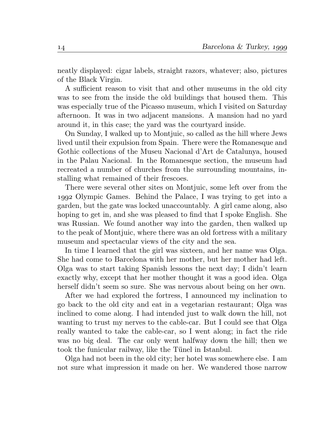neatly displayed: cigar labels, straight razors, whatever; also, pictures of the Black Virgin.

A sufficient reason to visit that and other museums in the old city was to see from the inside the old buildings that housed them. This was especially true of the Picasso museum, which I visited on Saturday afternoon. It was in two adjacent mansions. A mansion had no yard around it, in this case; the yard was the courtyard inside.

On Sunday, I walked up to Montjuic, so called as the hill where Jews lived until their expulsion from Spain. There were the Romanesque and Gothic collections of the Museu Nacional d'Art de Catalunya, housed in the Palau Nacional. In the Romanesque section, the museum had recreated a number of churches from the surrounding mountains, installing what remained of their frescoes.

There were several other sites on Montjuic, some left over from the Olympic Games. Behind the Palace, I was trying to get into a garden, but the gate was locked unaccountably. A girl came along, also hoping to get in, and she was pleased to find that I spoke English. She was Russian. We found another way into the garden, then walked up to the peak of Montjuic, where there was an old fortress with a military museum and spectacular views of the city and the sea.

In time I learned that the girl was sixteen, and her name was Olga. She had come to Barcelona with her mother, but her mother had left. Olga was to start taking Spanish lessons the next day; I didn't learn exactly why, except that her mother thought it was a good idea. Olga herself didn't seem so sure. She was nervous about being on her own.

After we had explored the fortress, I announced my inclination to go back to the old city and eat in a vegetarian restaurant; Olga was inclined to come along. I had intended just to walk down the hill, not wanting to trust my nerves to the cable-car. But I could see that Olga really wanted to take the cable-car, so I went along; in fact the ride was no big deal. The car only went halfway down the hill; then we took the funicular railway, like the Tünel in Istanbul.

Olga had not been in the old city; her hotel was somewhere else. I am not sure what impression it made on her. We wandered those narrow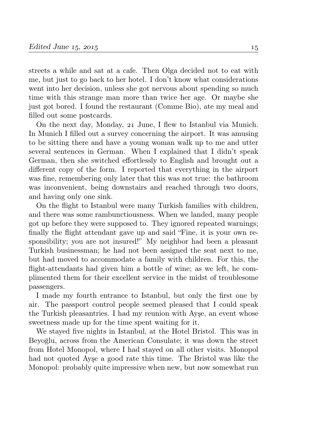streets a while and sat at a cafe. Then Olga decided not to eat with me, but just to go back to her hotel. I don't know what considerations went into her decision, unless she got nervous about spending so much time with this strange man more than twice her age. Or maybe she just got bored. I found the restaurant (Comme Bio), ate my meal and filled out some postcards.

On the next day, Monday, 21 June, I flew to Istanbul via Munich. In Munich I filled out a survey concerning the airport. It was amusing to be sitting there and have a young woman walk up to me and utter several sentences in German. When I explained that I didn't speak German, then she switched effortlessly to English and brought out a different copy of the form. I reported that everything in the airport was fine, remembering only later that this was not true: the bathroom was inconvenient, being downstairs and reached through two doors, and having only one sink.

On the flight to Istanbul were many Turkish families with children, and there was some rambunctiousness. When we landed, many people got up before they were supposed to. They ignored repeated warnings; finally the flight attendant gave up and said "Fine, it is your own responsibility; you are not insured!" My neighbor had been a pleasant Turkish businessman; he had not been assigned the seat next to me, but had moved to accommodate a family with children. For this, the flight-attendants had given him a bottle of wine; as we left, he complimented them for their excellent service in the midst of troublesome passengers.

I made my fourth entrance to Istanbul, but only the first one by air. The passport control people seemed pleased that I could speak the Turkish pleasantries. I had my reunion with Ayşe, an event whose sweetness made up for the time spent waiting for it.

We stayed five nights in Istanbul, at the Hotel Bristol. This was in Beyoğlu, across from the American Consulate; it was down the street from Hotel Monopol, where I had stayed on all other visits. Monopol had not quoted Ayşe a good rate this time. The Bristol was like the Monopol: probably quite impressive when new, but now somewhat run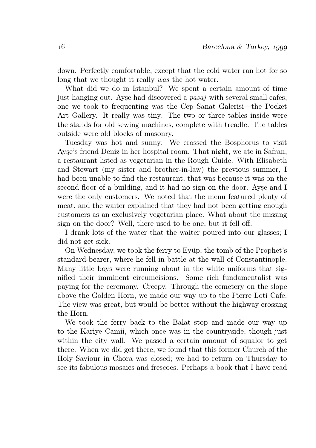down. Perfectly comfortable, except that the cold water ran hot for so long that we thought it really was the hot water.

What did we do in Istanbul? We spent a certain amount of time just hanging out. Ayşe had discovered a pasaj with several small cafes; one we took to frequenting was the Cep Sanat Galerisi—the Pocket Art Gallery. It really was tiny. The two or three tables inside were the stands for old sewing machines, complete with treadle. The tables outside were old blocks of masonry.

Tuesday was hot and sunny. We crossed the Bosphorus to visit Ayşe's friend Deniz in her hospital room. That night, we ate in Safran, a restaurant listed as vegetarian in the Rough Guide. With Elisabeth and Stewart (my sister and brother-in-law) the previous summer, I had been unable to find the restaurant; that was because it was on the second floor of a building, and it had no sign on the door. Ayşe and I were the only customers. We noted that the menu featured plenty of meat, and the waiter explained that they had not been getting enough customers as an exclusively vegetarian place. What about the missing sign on the door? Well, there used to be one, but it fell off.

I drank lots of the water that the waiter poured into our glasses; I did not get sick.

On Wednesday, we took the ferry to Eyüp, the tomb of the Prophet's standard-bearer, where he fell in battle at the wall of Constantinople. Many little boys were running about in the white uniforms that signified their imminent circumcisions. Some rich fundamentalist was paying for the ceremony. Creepy. Through the cemetery on the slope above the Golden Horn, we made our way up to the Pierre Loti Cafe. The view was great, but would be better without the highway crossing the Horn.

We took the ferry back to the Balat stop and made our way up to the Kariye Camii, which once was in the countryside, though just within the city wall. We passed a certain amount of squalor to get there. When we did get there, we found that this former Church of the Holy Saviour in Chora was closed; we had to return on Thursday to see its fabulous mosaics and frescoes. Perhaps a book that I have read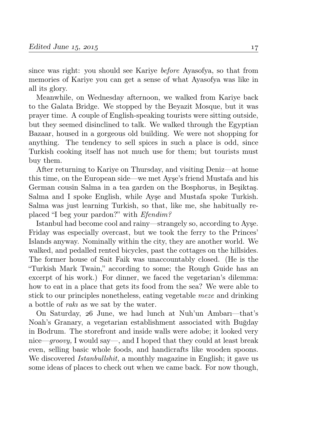since was right: you should see Kariye before Ayasofya, so that from memories of Kariye you can get a sense of what Ayasofya was like in all its glory.

Meanwhile, on Wednesday afternoon, we walked from Kariye back to the Galata Bridge. We stopped by the Beyazit Mosque, but it was prayer time. A couple of English-speaking tourists were sitting outside, but they seemed disinclined to talk. We walked through the Egyptian Bazaar, housed in a gorgeous old building. We were not shopping for anything. The tendency to sell spices in such a place is odd, since Turkish cooking itself has not much use for them; but tourists must buy them.

After returning to Kariye on Thursday, and visiting Deniz—at home this time, on the European side—we met Ayşe's friend Mustafa and his German cousin Salma in a tea garden on the Bosphorus, in Beşiktaş. Salma and I spoke English, while Ayşe and Mustafa spoke Turkish. Salma was just learning Turkish, so that, like me, she habitually replaced "I beg your pardon?" with Efendim?

Istanbul had become cool and rainy—strangely so, according to Ayşe. Friday was especially overcast, but we took the ferry to the Princes' Islands anyway. Nominally within the city, they are another world. We walked, and pedalled rented bicycles, past the cottages on the hillsides. The former house of Sait Faik was unaccountably closed. (He is the "Turkish Mark Twain," according to some; the Rough Guide has an excerpt of his work.) For dinner, we faced the vegetarian's dilemma: how to eat in a place that gets its food from the sea? We were able to stick to our principles nonetheless, eating vegetable meze and drinking a bottle of rakı as we sat by the water.

On Saturday, 26 June, we had lunch at Nuh'un Ambari—that's Noah's Granary, a vegetarian establishment associated with Buğday in Bodrum. The storefront and inside walls were adobe; it looked very nice—groovy, I would say—, and I hoped that they could at least break even, selling basic whole foods, and handicrafts like wooden spoons. We discovered *Istanbullshit*, a monthly magazine in English; it gave us some ideas of places to check out when we came back. For now though,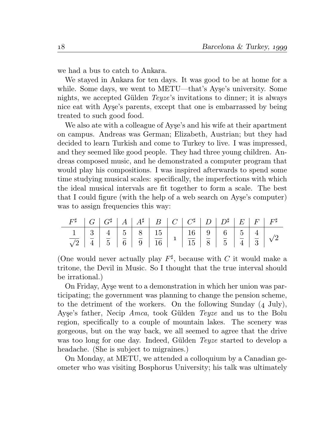we had a bus to catch to Ankara.

We stayed in Ankara for ten days. It was good to be at home for a while. Some days, we went to METU—that's Ayşe's university. Some nights, we accepted Gülden Teyze's invitations to dinner; it is always nice eat with Ayşe's parents, except that one is embarrassed by being treated to such good food.

We also ate with a colleague of Ayşe's and his wife at their apartment on campus. Andreas was German; Elizabeth, Austrian; but they had decided to learn Turkish and come to Turkey to live. I was impressed, and they seemed like good people. They had three young children. Andreas composed music, and he demonstrated a computer program that would play his compositions. I was inspired afterwards to spend some time studying musical scales: specifically, the imperfections with which the ideal musical intervals are fit together to form a scale. The best that I could figure (with the help of a web search on Ayşe's computer) was to assign frequencies this way:

|  |  | $F^{\sharp}$   $G$   $G^{\sharp}$   $A$   $A^{\sharp}$   $B$   $C$   $C^{\sharp}$   $D$   $D^{\sharp}$   $E$   $F$   $F^{\sharp}$ |  |  |  |  |
|--|--|-----------------------------------------------------------------------------------------------------------------------------------|--|--|--|--|
|  |  |                                                                                                                                   |  |  |  |  |

(One would never actually play  $F^{\sharp}$ , because with C it would make a tritone, the Devil in Music. So I thought that the true interval should be irrational.)

On Friday, Ayşe went to a demonstration in which her union was participating; the government was planning to change the pension scheme, to the detriment of the workers. On the following Sunday  $(4 \text{ July})$ , Ayşe's father, Necip Amca, took Gülden Teyze and us to the Bolu region, specifically to a couple of mountain lakes. The scenery was gorgeous, but on the way back, we all seemed to agree that the drive was too long for one day. Indeed, Gülden Teyze started to develop a headache. (She is subject to migraines.)

On Monday, at METU, we attended a colloquium by a Canadian geometer who was visiting Bosphorus University; his talk was ultimately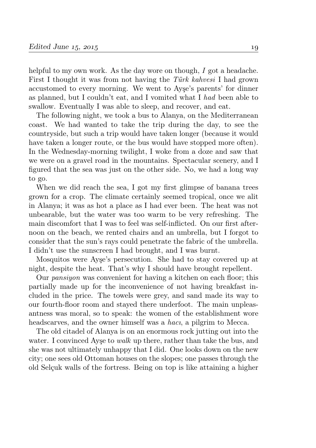helpful to my own work. As the day wore on though, I got a headache. First I thought it was from not having the Türk kahvesi I had grown accustomed to every morning. We went to Ayşe's parents' for dinner as planned, but I couldn't eat, and I vomited what I had been able to swallow. Eventually I was able to sleep, and recover, and eat.

The following night, we took a bus to Alanya, on the Mediterranean coast. We had wanted to take the trip during the day, to see the countryside, but such a trip would have taken longer (because it would have taken a longer route, or the bus would have stopped more often). In the Wednesday-morning twilight, I woke from a doze and saw that we were on a gravel road in the mountains. Spectacular scenery, and I figured that the sea was just on the other side. No, we had a long way to go.

When we did reach the sea, I got my first glimpse of banana trees grown for a crop. The climate certainly seemed tropical, once we alit in Alanya; it was as hot a place as I had ever been. The heat was not unbearable, but the water was too warm to be very refreshing. The main discomfort that I was to feel was self-inflicted. On our first afternoon on the beach, we rented chairs and an umbrella, but I forgot to consider that the sun's rays could penetrate the fabric of the umbrella. I didn't use the sunscreen I had brought, and I was burnt.

Mosquitos were Ayşe's persecution. She had to stay covered up at night, despite the heat. That's why I should have brought repellent.

Our pansiyon was convenient for having a kitchen on each floor; this partially made up for the inconvenience of not having breakfast included in the price. The towels were grey, and sand made its way to our fourth-floor room and stayed there underfoot. The main unpleasantness was moral, so to speak: the women of the establishment wore headscarves, and the owner himself was a *haci*, a pilgrim to Mecca.

The old citadel of Alanya is on an enormous rock jutting out into the water. I convinced Ayşe to walk up there, rather than take the bus, and she was not ultimately unhappy that I did. One looks down on the new city; one sees old Ottoman houses on the slopes; one passes through the old Selçuk walls of the fortress. Being on top is like attaining a higher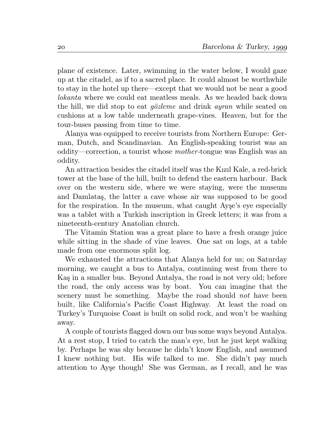plane of existence. Later, swimming in the water below, I would gaze up at the citadel, as if to a sacred place. It could almost be worthwhile to stay in the hotel up there—except that we would not be near a good lokanta where we could eat meatless meals. As we headed back down the hill, we did stop to eat gözleme and drink ayran while seated on cushions at a low table underneath grape-vines. Heaven, but for the tour-buses passing from time to time.

Alanya was equipped to receive tourists from Northern Europe: German, Dutch, and Scandinavian. An English-speaking tourist was an oddity—correction, a tourist whose mother-tongue was English was an oddity.

An attraction besides the citadel itself was the Kızıl Kale, a red-brick tower at the base of the hill, built to defend the eastern harbour. Back over on the western side, where we were staying, were the museum and Damlataş, the latter a cave whose air was supposed to be good for the respiration. In the museum, what caught Ayşe's eye especially was a tablet with a Turkish inscription in Greek letters; it was from a nineteenth-century Anatolian church.

The Vitamin Station was a great place to have a fresh orange juice while sitting in the shade of vine leaves. One sat on logs, at a table made from one enormous split log.

We exhausted the attractions that Alanya held for us; on Saturday morning, we caught a bus to Antalya, continuing west from there to Kaş in a smaller bus. Beyond Antalya, the road is not very old; before the road, the only access was by boat. You can imagine that the scenery must be something. Maybe the road should *not* have been built, like California's Pacific Coast Highway. At least the road on Turkey's Turquoise Coast is built on solid rock, and won't be washing away.

A couple of tourists flagged down our bus some ways beyond Antalya. At a rest stop, I tried to catch the man's eye, but he just kept walking by. Perhaps he was shy because he didn't know English, and assumed I knew nothing but. His wife talked to me. She didn't pay much attention to Ayşe though! She was German, as I recall, and he was